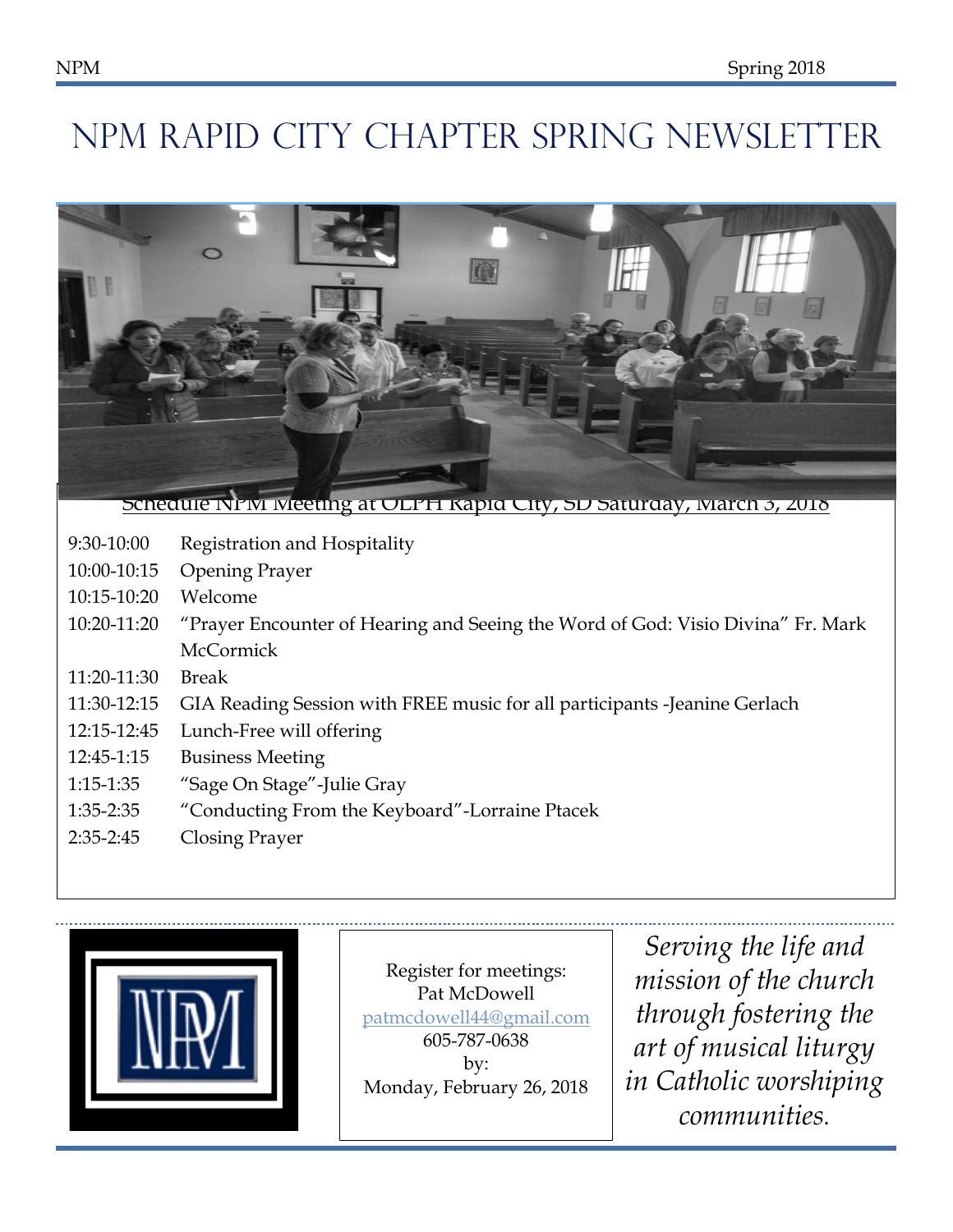# NPM RAPID CITY CHAPTER SPRING NEWSLETTER



#### Schedule NPM Meeting at OLPH Kapid City, SD Saturday, March 3, 2018

- 9:30-10:00 Registration and Hospitality
- 10:00-10:15 Opening Prayer
- 10:15-10:20 Welcome
- 10:20-11:20 The Prayer Encounter of Hearing and Seeing the Word of God: Visio Divina" Fr. Mark **McCormick**
- 11:20-11:30 Break
- 11:30-12:15 GIA Reading Session with FREE music for all participants -Jeanine Gerlach
- 12:15-12:45 Lunch-Free will offering
- 12:45-1:15 Business Meeting
- 1:15-1:35 "Sage On Stage"-Julie Gray
- 1:35-2:35 "Conducting From the Keyboard"-Lorraine Ptacek
- 2:35-2:45 Closing Prayer



Register for meetings: Pat McDowell [patmcdowell44@gmail.com](mailto:patmcdowell44@gmail.com) 605-787-0638 by: Monday, February 26, 2018

*Serving the life and mission of the church through fostering the art of musical liturgy in Catholic worshiping communities.*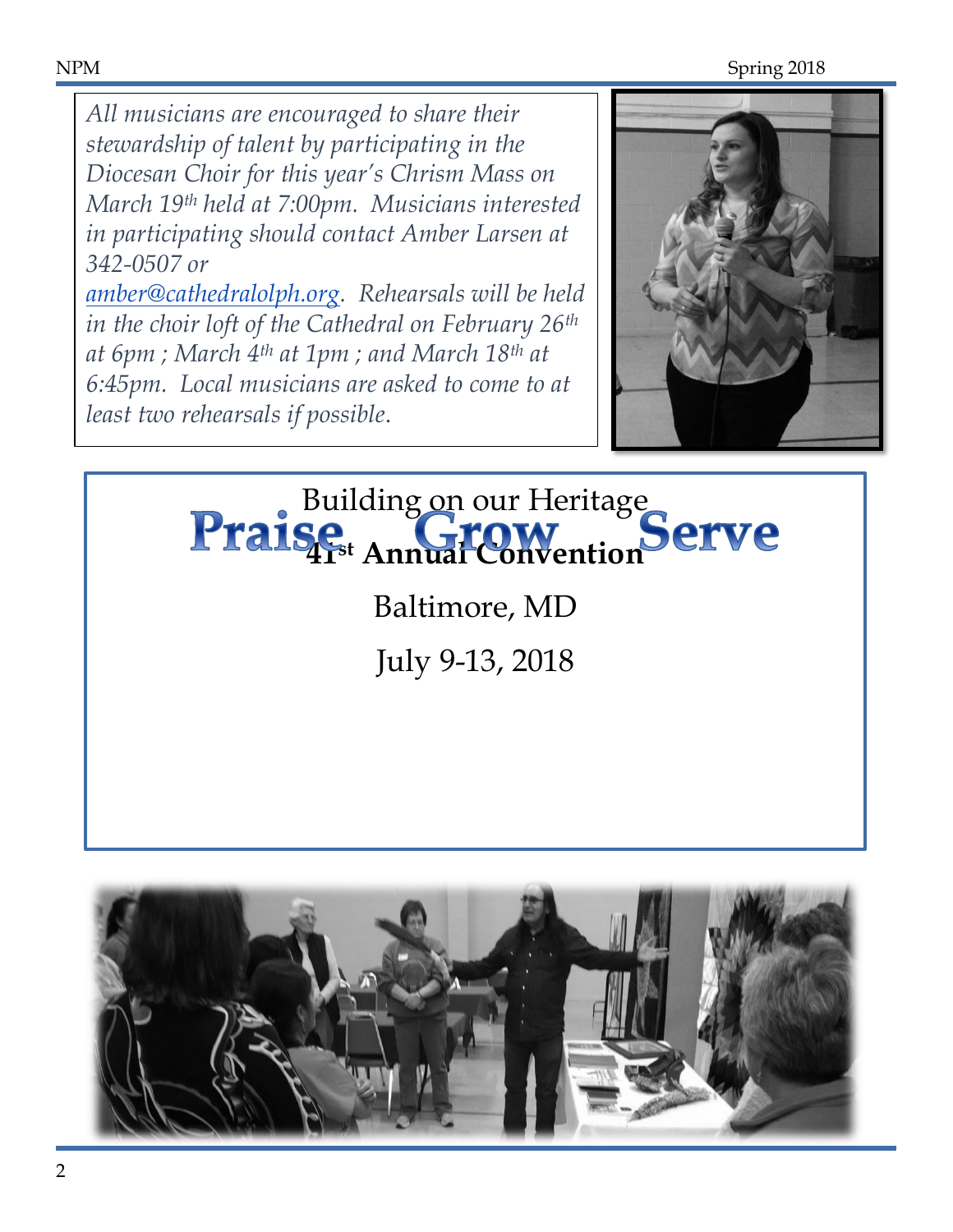*All musicians are encouraged to share their stewardship of talent by participating in the Diocesan Choir for this year's Chrism Mass on March 19th held at 7:00pm. Musicians interested in participating should contact Amber Larsen at 342-0507 or* 

*[amber@cathedralolph.org.](mailto:amber@cathedralolph.org) Rehearsals will be held in the choir loft of the Cathedral on February 26th at 6pm ; March 4th at 1pm ; and March 18th at 6:45pm. Local musicians are asked to come to at least two rehearsals if possible*.



## Building on our Heritage Praise<sub>st</sub> Annual Convention erve

# Baltimore, MD

July 9-13, 2018

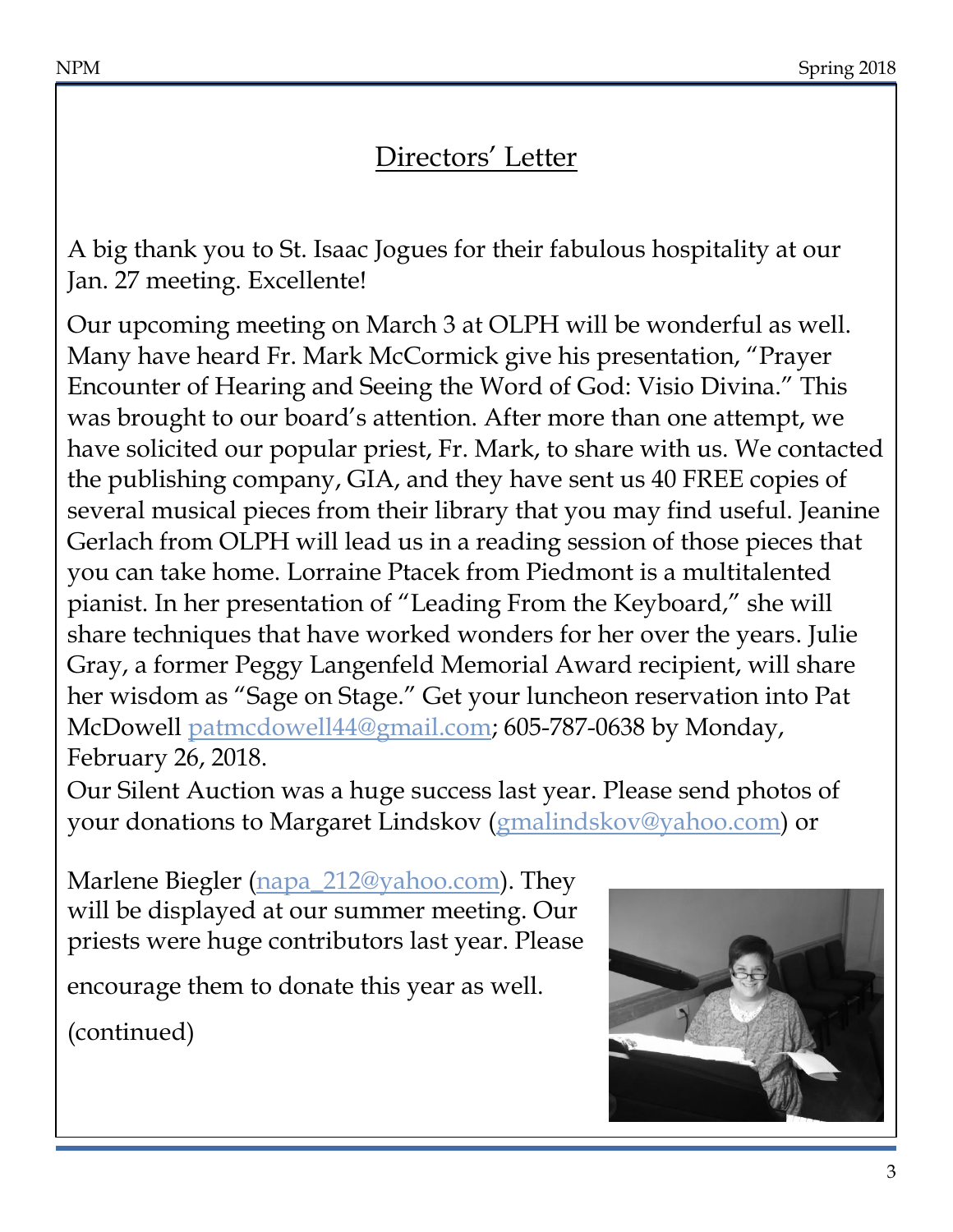# Directors' Letter

A big thank you to St. Isaac Jogues for their fabulous hospitality at our Jan. 27 meeting. Excellente!

Our upcoming meeting on March 3 at OLPH will be wonderful as well. Many have heard Fr. Mark McCormick give his presentation, "Prayer Encounter of Hearing and Seeing the Word of God: Visio Divina." This was brought to our board's attention. After more than one attempt, we have solicited our popular priest, Fr. Mark, to share with us. We contacted the publishing company, GIA, and they have sent us 40 FREE copies of several musical pieces from their library that you may find useful. Jeanine Gerlach from OLPH will lead us in a reading session of those pieces that you can take home. Lorraine Ptacek from Piedmont is a multitalented pianist. In her presentation of "Leading From the Keyboard," she will share techniques that have worked wonders for her over the years. Julie Gray, a former Peggy Langenfeld Memorial Award recipient, will share her wisdom as "Sage on Stage." Get your luncheon reservation into Pat McDowell [patmcdowell44@gmail.com;](mailto:patmcdowell44@gmail.com) 605-787-0638 by Monday, February 26, 2018.

Our Silent Auction was a huge success last year. Please send photos of your donations to Margaret Lindskov [\(gmalindskov@yahoo.com\)](mailto:gmalindskov@yahoo.com) or

Marlene Biegler [\(napa\\_212@yahoo.com\)](mailto:napa_212@yahoo.com). They will be displayed at our summer meeting. Our priests were huge contributors last year. Please

encourage them to donate this year as well.

(continued)

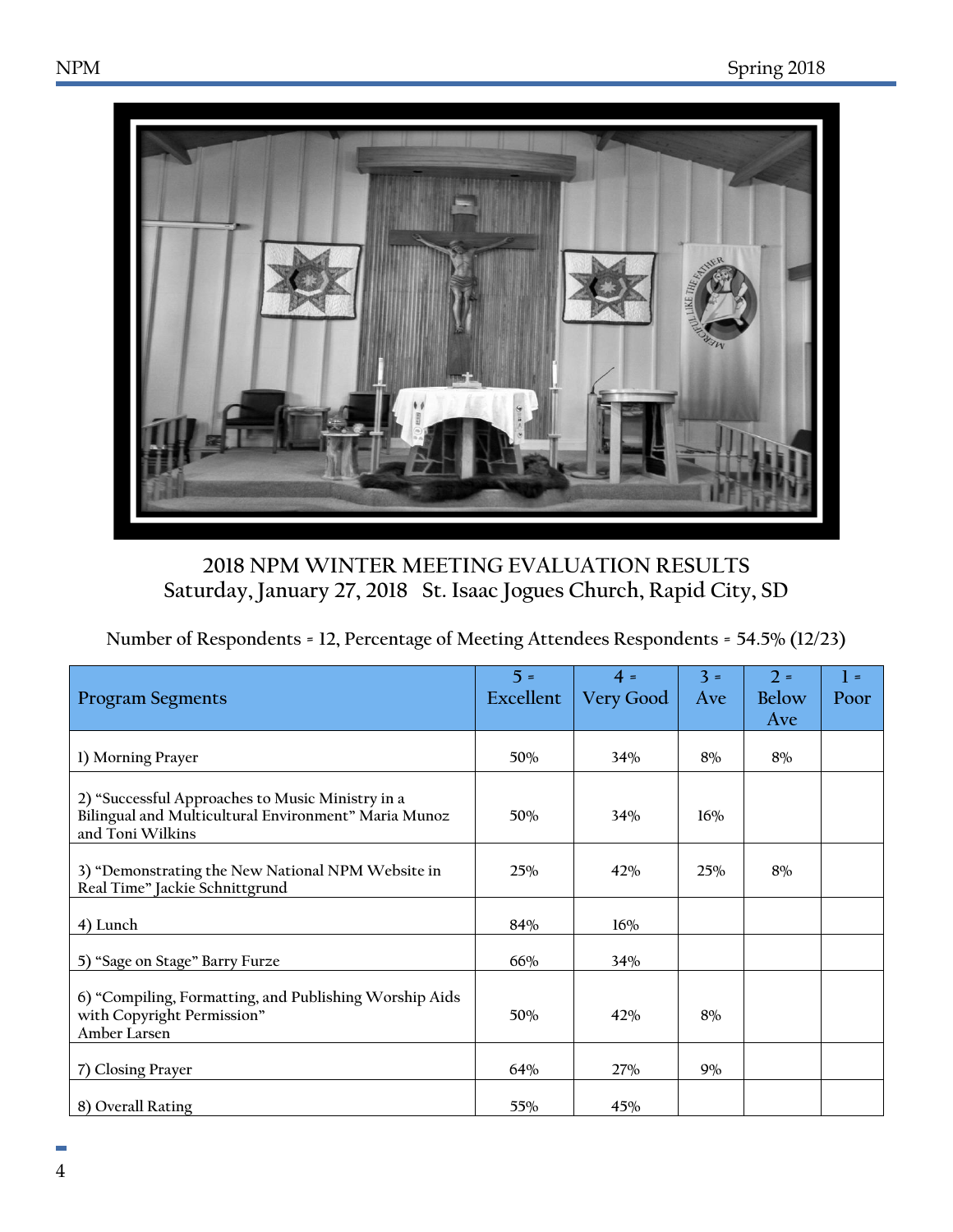

**2018 NPM WINTER MEETING EVALUATION RESULTS Saturday, January 27, 2018 St. Isaac Jogues Church, Rapid City, SD**

**Number of Respondents = 12, Percentage of Meeting Attendees Respondents = 54.5% (12/23)**

|                                                                                                                              | $5 =$     | $4 =$            | $3 =$ | $2 =$ | $1 =$ |
|------------------------------------------------------------------------------------------------------------------------------|-----------|------------------|-------|-------|-------|
| <b>Program Segments</b>                                                                                                      | Excellent | <b>Very Good</b> | Ave   | Below | Poor  |
|                                                                                                                              |           |                  |       | Ave   |       |
| 1) Morning Prayer                                                                                                            | 50%       | 34%              | 8%    | 8%    |       |
| 2) "Successful Approaches to Music Ministry in a<br>Bilingual and Multicultural Environment" Maria Munoz<br>and Toni Wilkins | 50%       | 34%              | 16%   |       |       |
| 3) "Demonstrating the New National NPM Website in<br>Real Time" Jackie Schnittgrund                                          | 25%       | 42%              | 25%   | 8%    |       |
| 4) Lunch                                                                                                                     | 84%       | 16%              |       |       |       |
| 5) "Sage on Stage" Barry Furze                                                                                               | 66%       | 34%              |       |       |       |
| 6) "Compiling, Formatting, and Publishing Worship Aids<br>with Copyright Permission"<br>Amber Larsen                         | 50%       | 42%              | 8%    |       |       |
| 7) Closing Prayer                                                                                                            | 64%       | 27%              | $9\%$ |       |       |
| 8) Overall Rating                                                                                                            | 55%       | 45%              |       |       |       |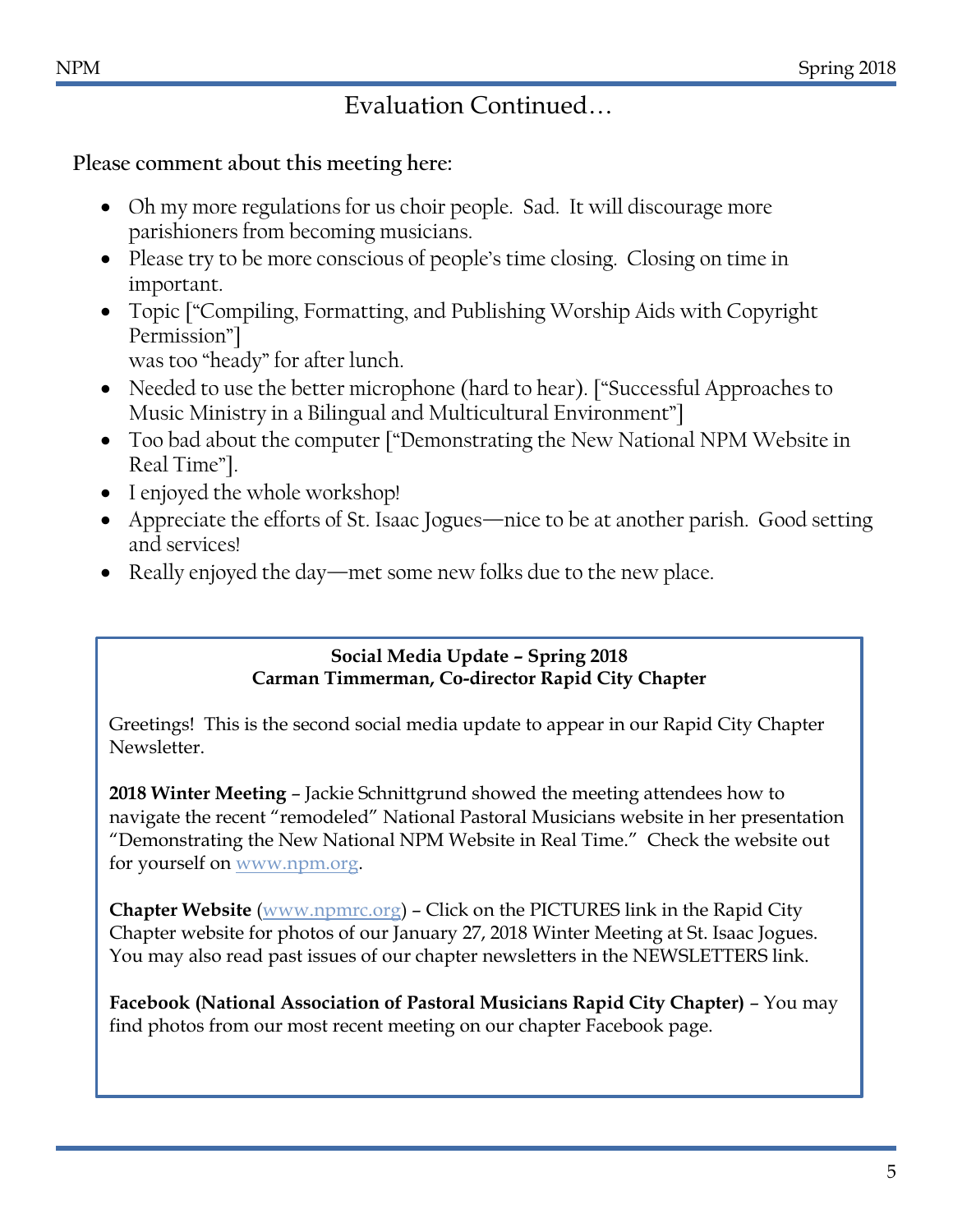## Evaluation Continued…

## **Please comment about this meeting here:**

- Oh my more regulations for us choir people. Sad. It will discourage more parishioners from becoming musicians.
- Please try to be more conscious of people's time closing. Closing on time in important.
- Topic ["Compiling, Formatting, and Publishing Worship Aids with Copyright Permission"]
- was too "heady" for after lunch.
- Needed to use the better microphone (hard to hear). ["Successful Approaches to Music Ministry in a Bilingual and Multicultural Environment"]
- Too bad about the computer ["Demonstrating the New National NPM Website in Real Time"].
- I enjoyed the whole workshop!
- Appreciate the efforts of St. Isaac Jogues—nice to be at another parish. Good setting and services!
- Really enjoyed the day—met some new folks due to the new place.

## **Social Media Update – Spring 2018 Carman Timmerman, Co-director Rapid City Chapter**

Greetings! This is the second social media update to appear in our Rapid City Chapter Newsletter.

**2018 Winter Meeting** – Jackie Schnittgrund showed the meeting attendees how to navigate the recent "remodeled" National Pastoral Musicians website in her presentation "Demonstrating the New National NPM Website in Real Time." Check the website out for yourself on [www.npm.org.](http://www.npm.org/)

**Chapter Website** [\(www.npmrc.org\)](http://www.npmrc.org/) – Click on the PICTURES link in the Rapid City Chapter website for photos of our January 27, 2018 Winter Meeting at St. Isaac Jogues. You may also read past issues of our chapter newsletters in the NEWSLETTERS link.

**Facebook (National Association of Pastoral Musicians Rapid City Chapter)** – You may find photos from our most recent meeting on our chapter Facebook page.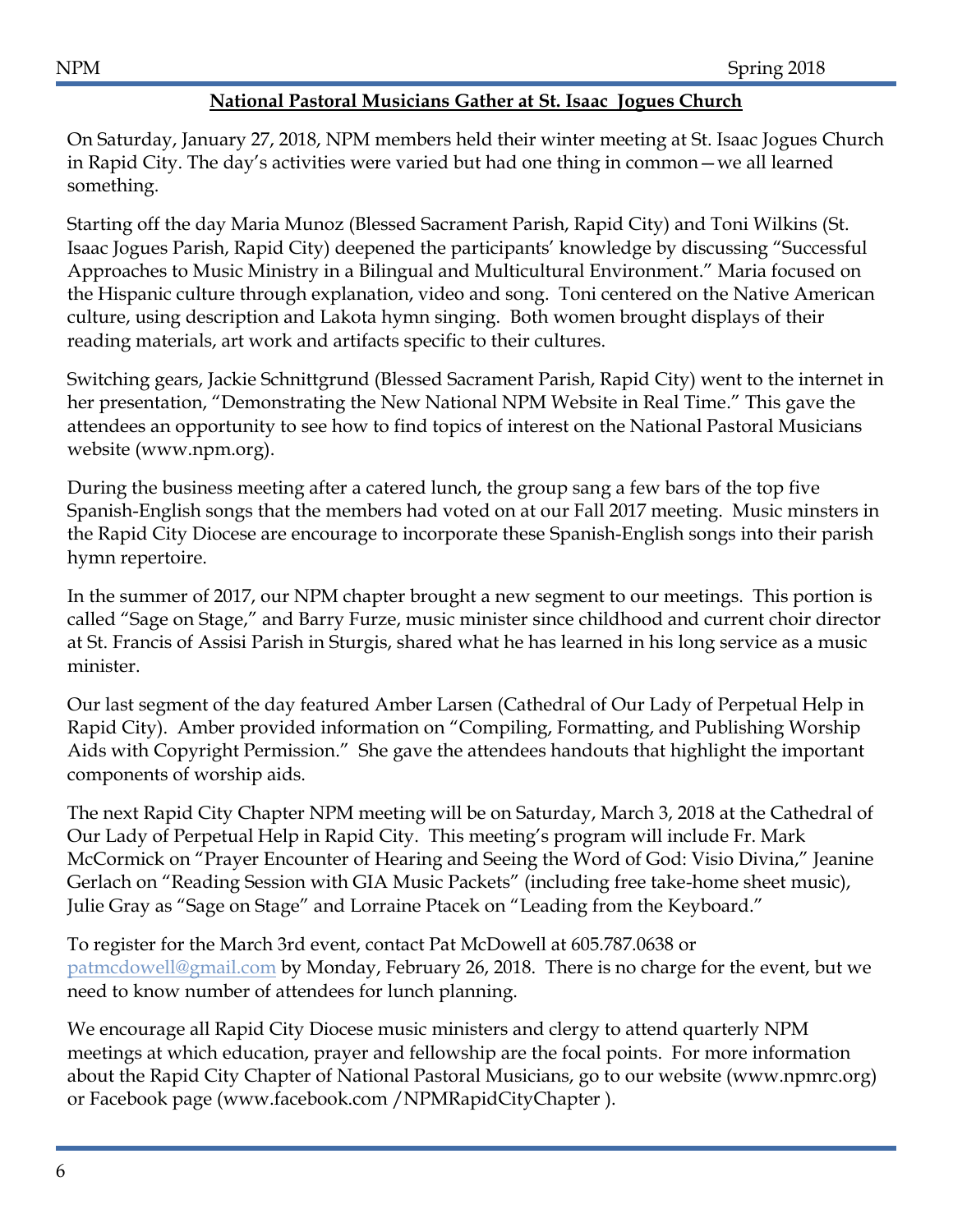### **National Pastoral Musicians Gather at St. Isaac Jogues Church**

On Saturday, January 27, 2018, NPM members held their winter meeting at St. Isaac Jogues Church in Rapid City. The day's activities were varied but had one thing in common—we all learned something.

Starting off the day Maria Munoz (Blessed Sacrament Parish, Rapid City) and Toni Wilkins (St. Isaac Jogues Parish, Rapid City) deepened the participants' knowledge by discussing "Successful Approaches to Music Ministry in a Bilingual and Multicultural Environment." Maria focused on the Hispanic culture through explanation, video and song. Toni centered on the Native American culture, using description and Lakota hymn singing. Both women brought displays of their reading materials, art work and artifacts specific to their cultures.

Switching gears, Jackie Schnittgrund (Blessed Sacrament Parish, Rapid City) went to the internet in her presentation, "Demonstrating the New National NPM Website in Real Time." This gave the attendees an opportunity to see how to find topics of interest on the National Pastoral Musicians website (www.npm.org).

During the business meeting after a catered lunch, the group sang a few bars of the top five Spanish-English songs that the members had voted on at our Fall 2017 meeting. Music minsters in the Rapid City Diocese are encourage to incorporate these Spanish-English songs into their parish hymn repertoire.

In the summer of 2017, our NPM chapter brought a new segment to our meetings. This portion is called "Sage on Stage," and Barry Furze, music minister since childhood and current choir director at St. Francis of Assisi Parish in Sturgis, shared what he has learned in his long service as a music minister.

Our last segment of the day featured Amber Larsen (Cathedral of Our Lady of Perpetual Help in Rapid City). Amber provided information on "Compiling, Formatting, and Publishing Worship Aids with Copyright Permission." She gave the attendees handouts that highlight the important components of worship aids.

The next Rapid City Chapter NPM meeting will be on Saturday, March 3, 2018 at the Cathedral of Our Lady of Perpetual Help in Rapid City. This meeting's program will include Fr. Mark McCormick on "Prayer Encounter of Hearing and Seeing the Word of God: Visio Divina," Jeanine Gerlach on "Reading Session with GIA Music Packets" (including free take-home sheet music), Julie Gray as "Sage on Stage" and Lorraine Ptacek on "Leading from the Keyboard."

To register for the March 3rd event, contact Pat McDowell at 605.787.0638 or [patmcdowell@gmail.com](mailto:patmcdowell@gmail.com) by Monday, February 26, 2018. There is no charge for the event, but we need to know number of attendees for lunch planning.

We encourage all Rapid City Diocese music ministers and clergy to attend quarterly NPM meetings at which education, prayer and fellowship are the focal points. For more information about the Rapid City Chapter of National Pastoral Musicians, go to our website (www.npmrc.org) or Facebook page (www.facebook.com /NPMRapidCityChapter ).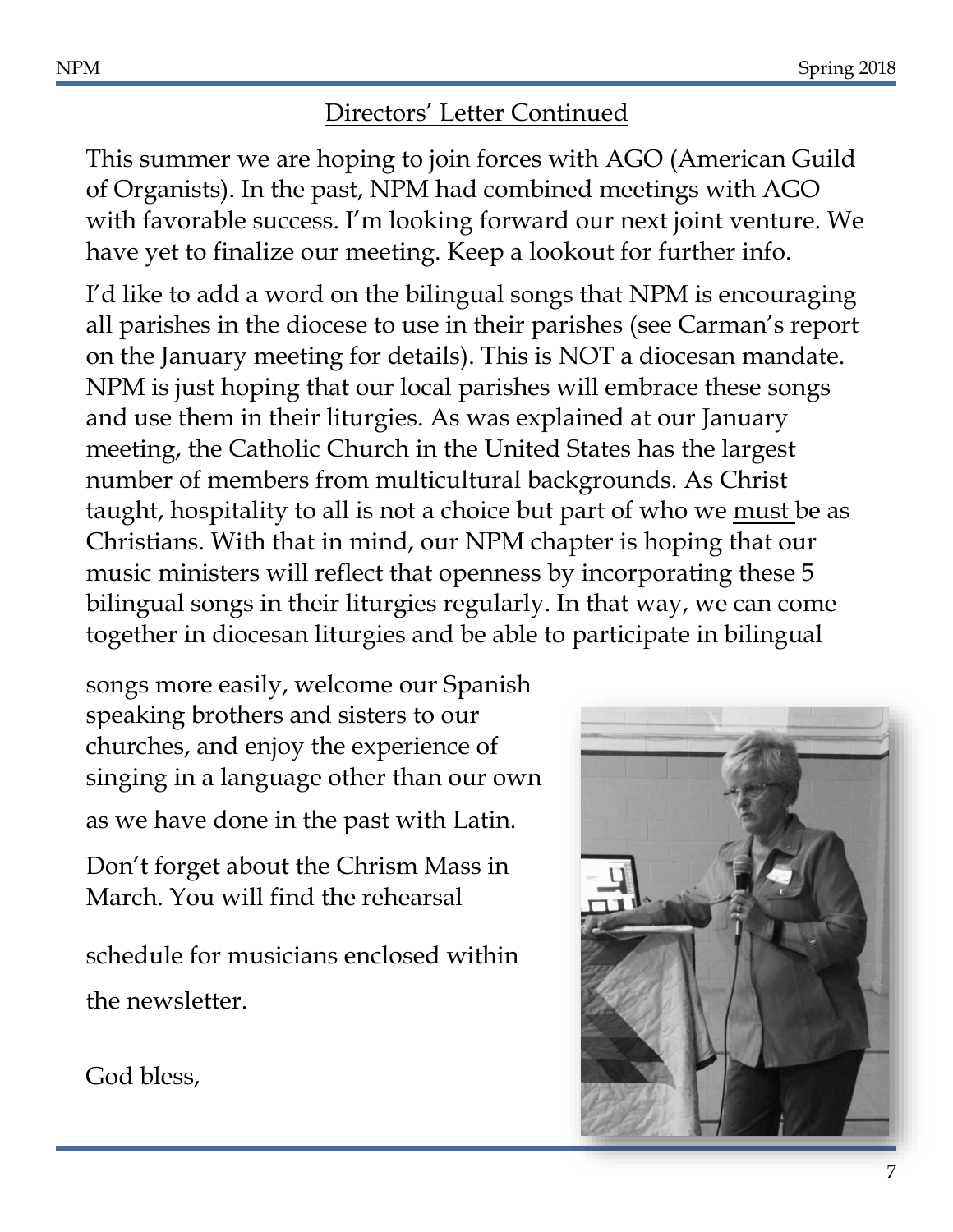# Directors' Letter Continued

This summer we are hoping to join forces with AGO (American Guild of Organists). In the past, NPM had combined meetings with AGO with favorable success. I'm looking forward our next joint venture. We have yet to finalize our meeting. Keep a lookout for further info.

I'd like to add a word on the bilingual songs that NPM is encouraging all parishes in the diocese to use in their parishes (see Carman's report on the January meeting for details). This is NOT a diocesan mandate. NPM is just hoping that our local parishes will embrace these songs and use them in their liturgies. As was explained at our January meeting, the Catholic Church in the United States has the largest number of members from multicultural backgrounds. As Christ taught, hospitality to all is not a choice but part of who we must be as Christians. With that in mind, our NPM chapter is hoping that our music ministers will reflect that openness by incorporating these 5 bilingual songs in their liturgies regularly. In that way, we can come together in diocesan liturgies and be able to participate in bilingual

songs more easily, welcome our Spanish speaking brothers and sisters to our churches, and enjoy the experience of singing in a language other than our own

as we have done in the past with Latin.

Don't forget about the Chrism Mass in March. You will find the rehearsal

schedule for musicians enclosed within the newsletter.



God bless,